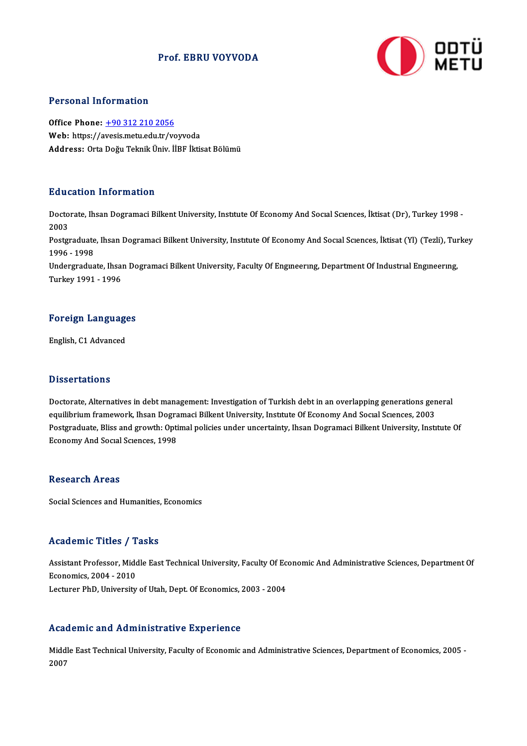## Prof. EBRU VOYVODA



#### Personal Information

Office Phone: +90 312 210 2056 Web: https://a[vesis.metu.edu.tr/vo](tel:+90 312 210 2056)yvoda Address: Orta Doğu Teknik Üniv. İİBF İktisat Bölümü

### Education Information

**Education Information**<br>Doctorate, Ihsan Dogramaci Bilkent University, Institute Of Economy And Social Sciences, İktisat (Dr), Turkey 1998 -<br>2003 Huute<br>Docto<br>2003 Doctorate, Ihsan Dogramaci Bilkent University, Institute Of Economy And Social Sciences, İktisat (Dr), Turkey 1998 -<br>2003<br>Postgraduate, Ihsan Dogramaci Bilkent University, Institute Of Economy And Social Sciences, İktisat 2003<br>Postgraduate, Ihsan Dogramaci Bilkent University, Institute Of Economy And Social Sciences, İktisat (Yl) (Tezli), Turkey<br>1996 - 1998 Postgraduate, Ihsan Dogramaci Bilkent University, Institute Of Economy And Social Sciences, İktisat (Yl) (Tezli), Tui<br>1996 - 1998<br>Undergraduate, Ihsan Dogramaci Bilkent University, Faculty Of Engineering, Department Of Ind 1996 - 1998<br>Undergraduate, Ihsa<br>Turkey 1991 - 1996

## Turkey 1991 - 1996<br>Foreign Languages <mark>Foreign Language</mark><br>English, C1 Advanced

English, C1 Advanced<br>Dissertations

Dissertations<br>Doctorate, Alternatives in debt management: Investigation of Turkish debt in an overlapping generations general<br>cauilibrium framewerk, theen Degramesi Billiont University, Institute Of Feenemy And Secre Secre e 1990s cations<br>Doctorate, Alternatives in debt management: Investigation of Turkish debt in an overlapping generations gen<br>Postanduate, Bliss and grouth: Ontimel polisies under unsertainty, Ibsen Degramaci Billient Univer Doctorate, Alternatives in debt management: Investigation of Turkish debt in an overlapping generations general<br>equilibrium framework, Ihsan Dogramaci Bilkent University, Institute Of Economy And Social Sciences, 2003<br>Post equilibrium framework, Ihsan Dogramaci Bilkent University, Institute Of Economy And Social Sciences, 2003<br>Postgraduate, Bliss and growth: Optimal policies under uncertainty, Ihsan Dogramaci Bilkent University, Institute Of

#### **Research Areas**

Social Sciences and Humanities, Economics

### Academic Titles / Tasks

Academic Titles / Tasks<br>Assistant Professor, Middle East Technical University, Faculty Of Economic And Administrative Sciences, Department Of Assistant Professor, Mide<br>Economics, 2004 - 2010<br>Lecturer PhD, University Assistant Professor, Middle East Technical University, Faculty Of Ec<br>Economics, 2004 - 2010<br>Lecturer PhD, University of Utah, Dept. Of Economics, 2003 - 2004 Lecturer PhD, University of Utah, Dept. Of Economics, 2003 - 2004<br>Academic and Administrative Experience

Middle East Technical University, Faculty of Economic and Administrative Sciences, Department of Economics, 2005 -2007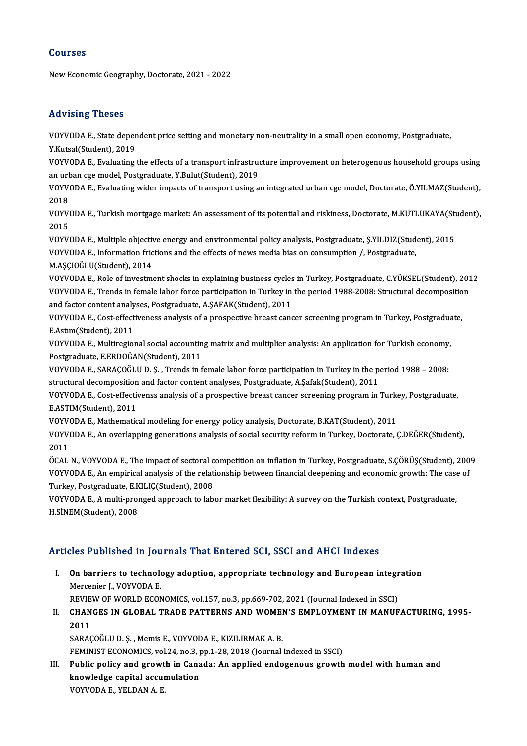## Courses

New Economic Geography, Doctorate, 2021 - 2022

## Advising Theses

Advising Theses<br>VOYVODA E., State dependent price setting and monetary non-neutrality in a small open economy, Postgraduate,<br>Y.Kutsal(Student), 2010 Y.<br>YOYVODA E., State deper<br>Y.Kutsal(Student), 2019<br>YOYVODA E. Evaluating VOYVODA E., State dependent price setting and monetary non-neutrality in a small open economy, Postgraduate,<br>Y.Kutsal(Student), 2019<br>VOYVODA E., Evaluating the effects of a transport infrastructure improvement on heterogen

Y.Kutsal(Student), 2019<br>VOYVODA E., Evaluating the effects of a transport infrastrue<br>an urban cge model, Postgraduate, Y.Bulut(Student), 2019<br>VOYVODA E. Evaluating urider impacts of transport using a VOYVODA E., Evaluating the effects of a transport infrastructure improvement on heterogenous household groups using<br>an urban cge model, Postgraduate, Y.Bulut(Student), 2019<br>VOYVODA E., Evaluating wider impacts of transport

an ur<mark>t</mark><br>VOYV<br>2018<br>VOYV VOYVODA E., Evaluating wider impacts of transport using an integrated urban cge model, Doctorate, Ö.YILMAZ(Student),<br>2018<br>VOYVODA E., Turkish mortgage market: An assessment of its potential and riskiness, Doctorate, M.KUTL

2018<br>VOYV<br>2015<br>VOYV VOYVODA E., Turkish mortgage market: An assessment of its potential and riskiness, Doctorate, M.KUTLUKAYA(Student)<br>2015<br>VOYVODA E., Multiple objective energy and environmental policy analysis, Postgraduate, Ş.YILDIZ(Studen

2015<br>VOYVODA E., Multiple objective energy and environmental policy analysis, Postgraduate, Ş.YILDIZ(Stud<br>VOYVODA E., Information frictions and the effects of news media bias on consumption /, Postgraduate,<br>M.ASCIOČI U(Stu VOYVODA E., Multiple objectiv<br>VOYVODA E., Information fric<br>M.AŞÇIOĞLU(Student), 2014<br>VOYVODA E. Bola of investme VOYVODA E., Information frictions and the effects of news media bias on consumption /, Postgraduate,<br>M.AŞÇIOĞLU(Student), 2014<br>VOYVODA E., Role of investment shocks in explaining business cycles in Turkey, Postgraduate, C.

M.AȘÇIOĞLU(Student), 2014<br>VOYVODA E., Role of investment shocks in explaining business cycles in Turkey, Postgraduate, C.YÜKSEL(Student), 201<br>VOYVODA E., Trends in female labor force participation in Turkey in the period 1 VOYVODA E., Role of investment shocks in explaining business cycles<br>VOYVODA E., Trends in female labor force participation in Turkey in<br>and factor content analyses, Postgraduate, A.ŞAFAK(Student), 2011<br>VOVVODA E. Cost effe VOYVODA E., Trends in female labor force participation in Turkey in the period 1988-2008: Structural decomposition<br>and factor content analyses, Postgraduate, A.ŞAFAK(Student), 2011<br>VOYVODA E., Cost-effectiveness analysis o

and factor content analy<br>VOYVODA E., Cost-effect<br>E.Astım(Student), 2011<br>VOYVODA E. Multiresia VOYVODA E., Cost-effectiveness analysis of a prospective breast cancer screening program in Turkey, Postgradua<br>E.Astım(Student), 2011<br>VOYVODA E., Multiregional social accounting matrix and multiplier analysis: An applicati

E.Astım(Student), 2011<br>VOYVODA E., Multiregional social accountin<br>Postgraduate, E.ERDOĞAN(Student), 2011<br>VOYVODA E. SARACOĞLU D. S...Tranda in f VOYVODA E., Multiregional social accounting matrix and multiplier analysis: An application for Turkish economy,<br>Postgraduate, E.ERDOĞAN(Student), 2011<br>VOYVODA E., SARAÇOĞLU D. Ş. , Trends in female labor force participatio

Postgraduate, E.ERDOĞAN(Student), 2011<br>VOYVODA E., SARAÇOĞLU D. Ş. , Trends in female labor force participation in Turkey in the period 1988 – 2008:<br>structural decomposition and factor content analyses, Postgraduate, A.Şaf VOYVODA E., SARAÇOĞLU D. Ş. , Trends in female labor force participation in Turkey in the period 1988 – 2008:<br>structural decomposition and factor content analyses, Postgraduate, A.Şafak(Student), 2011<br>VOYVODA E., Cost-effe

structural decomposition<br>VOYVODA E., Cost-effective<br>E.ASTIM(Student), 2011<br>VOYVODA E. Mathematic VOYVODA E., Cost-effectivenss analysis of a prospective breast cancer screening program in Turke<br>E.ASTIM(Student), 2011<br>VOYVODA E., Mathematical modeling for energy policy analysis, Doctorate, B.KAT(Student), 2011<br>VOYVODA

E.ASTIM(Student), 2011<br>VOYVODA E., Mathematical modeling for energy policy analysis, Doctorate, B.KAT(Student), 2011<br>VOYVODA E., An overlapping generations analysis of social security reform in Turkey, Doctorate, Ç.DEĞER(S VOYV<br>VOYV<br>2011<br>ÖCAL VOYVODA E., An overlapping generations analysis of social security reform in Turkey, Doctorate, Ç.DEĞER(Student),<br>2011<br>ÖCAL N., VOYVODA E., The impact of sectoral competition on inflation in Turkey, Postgraduate, S.ÇÖRÜŞ(S

2011<br>ÖCAL N., VOYVODA E., The impact of sectoral competition on inflation in Turkey, Postgraduate, S.ÇÖRÜŞ(Student), 200<br>VOYVODA E., An empirical analysis of the relationship between financial deepening and economic growth ÖCAL N., VOYVODA E., The impact of sectoral c<br>VOYVODA E., An empirical analysis of the relat<br>Turkey, Postgraduate, E.KILIÇ(Student), 2008<br>VOYVODA E. A multi propaed approach to lab VOYVODA E., An empirical analysis of the relationship between financial deepening and economic growth: The case of<br>Turkey, Postgraduate, E.KILIÇ(Student), 2008<br>VOYVODA E., A multi-pronged approach to labor market flexibili

VOYVODA E., A multi-pronged approach to labor market flexibility: A survey on the Turkish context, Postgraduate,

## Articles Published in Journals That Entered SCI, SSCI and AHCI Indexes

rticles Published in Journals That Entered SCI, SSCI and AHCI Indexes<br>I. On barriers to technology adoption, appropriate technology and European integration<br>Marconiar L VOVVODA E Mercenier J.,VOYVODAE. On barriers to technology adoption, appropriate technology and European integr<br>Mercenier J., VOYVODA E.<br>REVIEW OF WORLD ECONOMICS, vol.157, no.3, pp.669-702, 2021 (Journal Indexed in SSCI)<br>CHANCES IN GLOBAL TRADE BATTERNS

Mercenier J., VOYVODA E.<br>REVIEW OF WORLD ECONOMICS, vol.157, no.3, pp.669-702, 2021 (Journal Indexed in SSCI)<br>II. CHANGES IN GLOBAL TRADE PATTERNS AND WOMEN'S EMPLOYMENT IN MANUFACTURING, 1995-<br>2011 REVIEW OF WORLD ECONOMICS, vol.157, no.3, pp.669-702, 2021 (Journal Indexed in SSCI)<br>CHANGES IN GLOBAL TRADE PATTERNS AND WOMEN'S EMPLOYMENT IN MANUF<br>2011<br>SARAÇOĞLU D. Ş. , Memis E., VOYVODA E., KIZILIRMAK A. B. CHANGES IN GLOBAL TRADE PATTERNS AND WOMENT<br>2011<br>SARAÇOĞLU D. Ş. , Memis E., VOYVODA E., KIZILIRMAK A. B.<br>ERMINIST ECONOMICS .vol 24, no 2, nn 1, 28, 2018 (Journal

FEMINIST ECONOMICS, vol.24, no.3, pp.1-28, 2018 (Journal Indexed in SSCI)

SARAÇOĞLU D. Ş. , Memis E., VOYVODA E., KIZILIRMAK A. B.<br>FEMINIST ECONOMICS, vol.24, no.3, pp.1-28, 2018 (Journal Indexed in SSCI)<br>III. Public policy and growth in Canada: An applied endogenous growth model with human and<br> FEMINIST ECONOMICS, vol.24, no.3, p<br>Public policy and growth in Cana<br>knowledge capital accumulation<br>VOVIODA E VELDANA E Public policy and growt<br>knowledge capital accur<br>VOYVODA E., YELDAN A. E.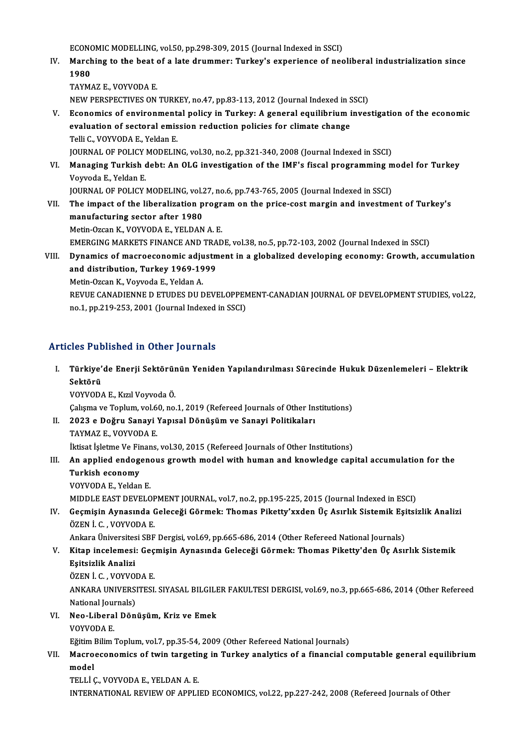ECONOMIC MODELLING, vol.50, pp.298-309, 2015 (Journal Indexed in SSCI)<br>Marshing to the best of a late duummery Turkey's experience of nee

ECONOMIC MODELLING, vol.50, pp.298-309, 2015 (Journal Indexed in SSCI)<br>IV. Marching to the beat of a late drummer: Turkey's experience of neoliberal industrialization since<br>1980 ECONO<br>March<br>1980<br>TAVM Marching to the beat<br>1980<br>TAYMAZ E., VOYVODA E.<br>NEW PERSPECTIVES ON 1980<br>TAYMAZ E., VOYVODA E.<br>NEW PERSPECTIVES ON TURKEY, no.47, pp.83-113, 2012 (Journal Indexed in SSCI)<br>Economics of onvironmental policy in Turkey: A general equilibrium inves

TAYMAZ E., VOYVODA E.<br>NEW PERSPECTIVES ON TURKEY, no.47, pp.83-113, 2012 (Journal Indexed in SSCI)<br>V. Economics of environmental policy in Turkey: A general equilibrium investigation of the economic NEW PERSPECTIVES ON TURKEY, no.47, pp.83-113, 2012 (Journal Indexed in S<br>Economics of environmental policy in Turkey: A general equilibrium i<br>evaluation of sectoral emission reduction policies for climate change<br>Telli C. V evaluation of sectoral emission reduction policies for climate change Telli C., VOYVODA E., Yeldan E. evaluation of sectoral emission reduction policies for climate change<br>Telli C., VOYVODA E., Yeldan E.<br>JOURNAL OF POLICY MODELING, vol.30, no.2, pp.321-340, 2008 (Journal Indexed in SSCI)<br>Managing Turkich dabt: An OLG inves Telli C., VOYVODA E., Yeldan E.<br>JOURNAL OF POLICY MODELING, vol.30, no.2, pp.321-340, 2008 (Journal Indexed in SSCI)<br>VI. Managing Turkish debt: An OLG investigation of the IMF's fiscal programming model for Turkey<br>Vourode

JOURNAL OF POLICY<br>Managing Turkish<br>Voyvoda E., Yeldan E.<br>JOUPNAL OF POLICY Managing Turkish debt: An OLG investigation of the IMF's fiscal programming m<br>Voyvoda E., Yeldan E.<br>JOURNAL OF POLICY MODELING, vol.27, no.6, pp.743-765, 2005 (Journal Indexed in SSCI)<br>The impact of the liberalization prog Voyvoda E., Yeldan E.<br>JOURNAL OF POLICY MODELING, vol.27, no.6, pp.743-765, 2005 (Journal Indexed in SSCI)<br>VII. The impact of the liberalization program on the price-cost margin and investment of Turkey's

manufacturing sector after 1980 Metin-Ozcan K., VOYVODA E., YELDAN A. E. EMERGING MARKETS FINANCE AND TRADE, vol.38, no.5, pp.72-103, 2002 (Journal Indexed in SSCI) Metin-Ozcan K., VOYVODA E., YELDAN A. E.<br>EMERGING MARKETS FINANCE AND TRADE, vol.38, no.5, pp.72-103, 2002 (Journal Indexed in SSCI)<br>VIII. Dynamics of macroeconomic adjustment in a globalized developing economy: Growth

EMERGING MARKETS FINANCE AND TRA<br>Dynamics of macroeconomic adjustm<br>and distribution, Turkey 1969-1999<br>Metin Ozen K. Verwede E. Velden A Dynamics of macroeconomic adju<br>and distribution, Turkey 1969-19<br>Metin-Ozcan K., Voyvoda E., Yeldan A.<br>REVUE CANADIENNE D ETUDES DU F and distribution, Turkey 1969-1999<br>Metin-Ozcan K., Voyvoda E., Yeldan A.<br>REVUE CANADIENNE D ETUDES DU DEVELOPPEMENT-CANADIAN JOURNAL OF DEVELOPMENT STUDIES, vol.22,<br>no.1, np.310,353, 3001 (Journal Indoved in SSC). Metin-Ozcan K., Voyvoda E., Yeldan A.<br>REVUE CANADIENNE D ETUDES DU DEVELOPPEN<br>no.1, pp.219-253, 2001 (Journal Indexed in SSCI)

# no.1, pp.219-253, 2001 (Journal Indexed in SSCI)<br>Articles Published in Other Journals

rticles Published in Other Journals<br>I. Türkiye'de Enerji Sektörünün Yeniden Yapılandırılması Sürecinde Hukuk Düzenlemeleri – Elektrik<br>Sektörü sico i ul<br>Türkiye'<br>Sektörü Türkiye'de Enerji Sektörür<br>Sektörü<br>VOYVODA E., Kızıl Voyvoda Ö.<br>Ceksme ve Tenkum vel 60 ne Se**ktörü**<br>VOYVODA E., Kızıl Voyvoda Ö.<br>Çalışma ve Toplum, vol.60, no.1, 2019 (Refereed Journals of Other Institutions)

VOYVODA E., Kızıl Voyvoda Ö.<br>Çalışma ve Toplum, vol.60, no.1, 2019 (Refereed Journals of Other In:<br>II. 2023 e Doğru Sanayi Yapısal Dönüşüm ve Sanayi Politikaları<br>TAYMAZ E. VOYVODA E. Çalışma ve Toplum, vol.6<br>2023 e Doğru Sanayi<br>TAYMAZ E., VOYVODA E.<br>İltisat İslatma Ve Finans

TAYMAZ E., VOYVODA E.<br>İktisat İşletme Ve Finans, vol.30, 2015 (Refereed Journals of Other Institutions)

- TAYMAZ E., VOYVODA E.<br>İktisat İşletme Ve Finans, vol.30, 2015 (Refereed Journals of Other Institutions)<br>III. An applied endogenous growth model with human and knowledge capital accumulation for the<br>Turkish acapamu İktisat İşletme Ve Fi<br>An applied endog<br>Turkish economy<br>VOVVODA E Yeldan An applied endogene<br>Turkish economy<br>VOYVODA E., Yeldan E.<br>MIDDLE EAST DEVELO Turkish economy<br>VOYVODA E., Yeldan E.<br>MIDDLE EAST DEVELOPMENT JOURNAL, vol.7, no.2, pp.195-225, 2015 (Journal Indexed in ESCI)<br>Cosmisin Aunasunda Coloseži Cörmek: Thomas Biketty'syden Üs Asırlık Sistemik Esitei
	-

VOYVODA E., Yeldan E.<br>MIDDLE EAST DEVELOPMENT JOURNAL, vol.7, no.2, pp.195-225, 2015 (Journal Indexed in ESCI)<br>IV. Geçmişin Aynasında Geleceği Görmek: Thomas Piketty'xxden Üç Asırlık Sistemik Eşitsizlik Analizi<br>ÖZEN İ. C. MIDDLE EAST DEVELOF<br>Geçmişin Aynasında (ÖZEN İ. C. , VOYVODA E.<br>Ankara Üniversitesi SBE Geçmişin Aynasında Geleceği Görmek: Thomas Piketty'xxden Üç Asırlık Sistemik Eşi<br>ÖZEN İ. C. , VOYVODA E.<br>Ankara Üniversitesi SBF Dergisi, vol.69, pp.665-686, 2014 (Other Refereed National Journals)<br>Vitan ingelemesi: Cosmis

## ÖZEN İ. C. , VOYVODA E.<br>Ankara Üniversitesi SBF Dergisi, vol.69, pp.665-686, 2014 (Other Refereed National Journals)<br>V. Kitap incelemesi: Geçmişin Aynasında Geleceği Görmek: Thomas Piketty'den Üç Asırlık Sistemik<br>Feite Ankara Üniversites<br>Kitap incelemesi<br>Eşitsizlik Analizi<br>ÖZEN İ.C. VOYVO Kitap incelemesi: Geç<br>Eşitsizlik Analizi<br>ÖZEN İ. C. , VOYVODA E.<br>ANKARA UNIVERSITESI

ÖZEN İ.C. VOYVODA E.

Eşitsizlik Analizi<br>ÖZEN İ. C. , VOYVODA E.<br>ANKARA UNIVERSITESI. SIYASAL BILGILER FAKULTESI DERGISI, vol.69, no.3, pp.665-686, 2014 (Other Refereed<br>National Journals) ANKARA UNIVERSITESI. SIYASAL BILGILE<br>National Journals)<br>VI. Neo-Liberal Dönüşüm, Kriz ve Emek<br>VOVVODA E

National Jou<mark>l</mark><br>Neo-Libera<br>VOYVODA E.<br>Eğitim Bilim Neo-Liberal Dönüşüm, Kriz ve Emek<br>VOYVODA E.<br>Eğitim Bilim Toplum, vol.7, pp.35-54, 2009 (Other Refereed National Journals)<br>Masyossonomise of tujn terseting in Turkey analytise of a financial s

VOYVODA E.<br>Eğitim Bilim Toplum, vol.7, pp.35-54, 2009 (Other Refereed National Journals)<br>VII. Macroeconomics of twin targeting in Turkey analytics of a financial computable general equilibrium<br>model Eğitim I<br>Macro<br>model<br>TELLİ 6 Macroeconomics of twin targetii<br>model<br>TELLİ Ç., VOYVODA E., YELDAN A. E.<br>INTERNATIONAL REVIEW OF ARRIJ

model<br>TELLİ Ç., VOYVODA E., YELDAN A. E.<br>INTERNATIONAL REVIEW OF APPLIED ECONOMICS, vol.22, pp.227-242, 2008 (Refereed Journals of Other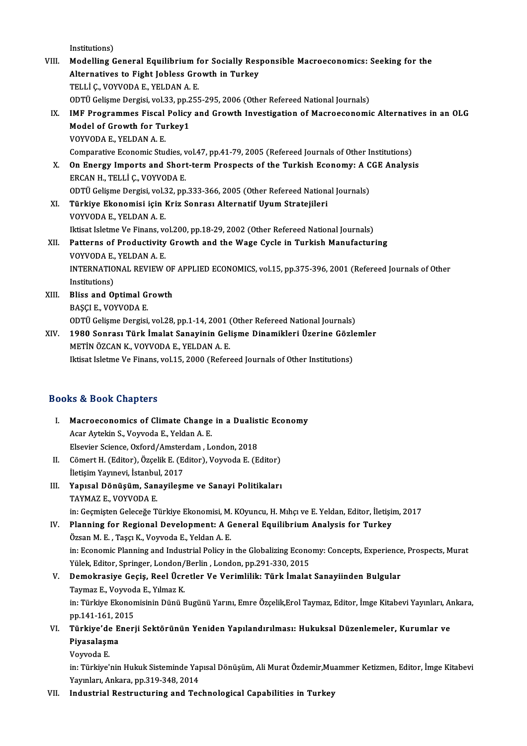Institutions)

Institutions)<br>VIII. Modelling General Equilibrium for Socially Responsible Macroeconomics: Seeking for the<br>Alternatives to Fight Jobless Crowth in Turkey Institutions)<br>Modelling General Equilibrium for Socially Res<sub>l</sub><br>Alternatives to Fight Jobless Growth in Turkey<br>TELLIC VOWODAE VELDANAE Modelling General Equilibrium f<br>Alternatives to Fight Jobless Gro<br>TELLİ Ç., VOYVODA E., YELDAN A. E.<br>ODTÜ Celisme Dergisi vel 33 np 255 Alternatives to Fight Jobless Growth in Turkey<br>TELLİ Ç., VOYVODA E., YELDAN A. E.<br>ODTÜ Gelişme Dergisi, vol.33, pp.255-295, 2006 (Other Refereed National Journals)<br>IME Programmos Fiscal Polisy and Crowth Investigation of M TELLİ Ç., VOYVODA E., YELDAN A. E.<br>ODTÜ Gelişme Dergisi, vol.33, pp.255-295, 2006 (Other Refereed National Journals)<br>IX. IMF Programmes Fiscal Policy and Growth Investigation of Macroeconomic Alternatives in an OLG ODTÜ Gelişme Dergisi, vol.33, pp.2<br>IMF Programmes Fiscal Policy<br>Model of Growth for Turkey1<br>VOVVODA E . YELDAN A. E Model of Growth for Turkey1<br>VOYVODA E., YELDAN A. E. Model of Growth for Turkey1<br>VOYVODA E., YELDAN A. E.<br>Comparative Economic Studies, vol.47, pp.41-79, 2005 (Refereed Journals of Other Institutions)<br>On Energy Imparts and Shart term Prespects of the Turkish Essnamy: A CCE A VOYVODA E., YELDAN A. E.<br>Comparative Economic Studies, vol.47, pp.41-79, 2005 (Refereed Journals of Other Institutions)<br>X. On Energy Imports and Short-term Prospects of the Turkish Economy: A CGE Analysis<br>ERCAN H. TELLI C. Comparative Economic Studies, v<br>On Energy Imports and Short<br>ERCAN H., TELLİ Ç., VOYVODA E.<br>ODTÜ Colisma Dargisi, vol 33 an On Energy Imports and Short-term Prospects of the Turkish Economy: A C<br>ERCAN H., TELLİ Ç., VOYVODA E.<br>ODTÜ Gelişme Dergisi, vol.32, pp.333-366, 2005 (Other Refereed National Journals)<br>Türkiye Ekonomisi isin Kriz Sonrası Al ERCAN H., TELLİ Ç., VOYVODA E.<br>ODTÜ Gelişme Dergisi, vol.32, pp.333-366, 2005 (Other Refereed Nationa<br>XI. Türkiye Ekonomisi için Kriz Sonrası Alternatif Uyum Stratejileri<br>VOYVODA E. YELDAN A.E. ODTÜ Gelişme Dergisi, vol.3<br><mark>Türkiye Ekonomisi için</mark><br>VOYVODA E., YELDAN A. E.<br><sup>H</sup>itisat Islatme Ve Einans, ve Türkiye Ekonomisi için Kriz Sonrası Alternatif Uyum Stratejileri<br>VOYVODA E., YELDAN A. E.<br>Iktisat Isletme Ve Finans, vol.200, pp.18-29, 2002 (Other Refereed National Journals)<br>Petterne of Productivity Crowth and the Wege C VOYVODA E., YELDAN A. E.<br>Iktisat Isletme Ve Finans, vol.200, pp.18-29, 2002 (Other Refereed National Journals)<br>XII. Patterns of Productivity Growth and the Wage Cycle in Turkish Manufacturing<br>VOYVODA E. YELDAN A. E. Iktisat Isletme Ve Finans, vo<br>Patterns of Productivity<br>VOYVODA E., YELDAN A. E.<br>INTERNATIONAL REVIEW Patterns of Productivity Growth and the Wage Cycle in Turkish Manufacturing<br>VOYVODA E., YELDAN A. E.<br>INTERNATIONAL REVIEW OF APPLIED ECONOMICS, vol.15, pp.375-396, 2001 (Refereed Journals of Other<br>Institutions) VOYVODA E, YELDAN A.E. INTERNATIONAL REVIEW OF<br>Institutions)<br>XIII. Bliss and Optimal Growth Institutions)<br>Bliss and Optimal G<br>BAŞÇI E., VOYVODA E.<br>ODTÜ Colisme Dergisi BAŞÇI E., VOYVODA E.<br>ODTÜ Gelişme Dergisi, vol.28, pp.1-14, 2001 (Other Refereed National Journals) BAŞÇI E., VOYVODA E.<br>ODTÜ Gelişme Dergisi, vol.28, pp.1-14, 2001 (Other Refereed National Journals)<br>XIV. 1980 Sonrası Türk İmalat Sanayinin Gelişme Dinamikleri Üzerine Gözlemler<br>METİN ÖZCAN K. VOYVODA E. YELDAN A. E. ODTÜ Gelişme Dergisi, vol.28, pp.1-14, 2001 (<br>1980 Sonrası Türk İmalat Sanayinin Gel<br>METİN ÖZCAN K., VOYVODA E., YELDAN A. E.<br>Ikiset Jeletme Ve Einans, vol.15, 2000 (Befer METIN ÖZCAN K., VOYVODA E., YELDAN A. E.<br>Iktisat Isletme Ve Finans, vol.15, 2000 (Refereed Journals of Other Institutions)

## Books&Book Chapters

- ooks & Book Chapters<br>I. Macroeconomics of Climate Change in a Dualistic Economy Macroeconomics of Climate Change<br>Acar Aytekin S., Voyvoda E., Yeldan A. E.<br>Elsevier Science Oyford (Amsterdam, L. Macroeconomics of Climate Change in a Dualis:<br>Acar Aytekin S., Voyvoda E., Yeldan A. E.<br>Elsevier Science, Oxford/Amsterdam, London, 2018<br>C<sup>a</sup>mort H. (Editon), Özselik E. (Editon), Vouvoda E. (E Acar Aytekin S., Voyvoda E., Yeldan A. E.<br>Elsevier Science, Oxford/Amsterdam , London, 2018<br>II. Cömert H. (Editor), Özçelik E. (Editor), Voyvoda E. (Editor)<br>İletişim Yayınevi, İstanbul, 2017 Elsevier Science, Oxford/Amsterdam, London, 2018 II. Cömert H. (Editor), Özçelik E. (Editor), Voyvoda E. (Editor)<br>İletişim Yayınevi, İstanbul, 2017<br>III. Yapısal Dönüşüm, Sanayileşme ve Sanayi Politikaları<br>TAYMAZ E. VOYVODA E İletişim Yayınevi, İstanbu<br>Yapısal Dönüşüm, San<br>TAYMAZ E., VOYVODA E.<br>in: Cecmistan Celeseğe T TAYMAZ E., VOYVODA E.<br>in: Geçmişten Geleceğe Türkiye Ekonomisi, M. KOyuncu, H. Mıhçı ve E. Yeldan, Editor, İletişim, 2017 IV. Planning for Regional Development: A General EquilibriumAnalysis for Turkey ÖzsanM.E. ,TaşçıK.,VoyvodaE.,YeldanA.E. Planning for Regional Development: A General Equilibrium Analysis for Turkey<br>Özsan M. E. , Taşçı K., Voyvoda E., Yeldan A. E.<br>in: Economic Planning and Industrial Policy in the Globalizing Economy: Concepts, Experience, Pr Özsan M. E. , Taşçı K., Voyvoda E., Yeldan A. E.<br>in: Economic Planning and Industrial Policy in the Globalizing Econo<br>Yülek, Editor, Springer, London/Berlin , London, pp.291-330, 2015<br>Demokrasiya Gosis, Bool Üsratlar Ve Va in: Economic Planning and Industrial Policy in the Globalizing Economy: Concepts, Experience<br>Yülek, Editor, Springer, London/Berlin, London, pp.291-330, 2015<br>V. Demokrasiye Geçiş, Reel Ücretler Ve Verimlilik: Türk İmalat S Yülek, Editor, Springer, London/<br>Demokrasiye Geçiş, Reel Ücr<br>Taymaz E., Voyvoda E., Yılmaz K.<br>in: Türkiye Ekonomisinin Dünü E Demokrasiye Geçiş, Reel Ücretler Ve Verimlilik: Türk İmalat Sanayiinden Bulgular<br>Taymaz E., Voyvoda E., Yılmaz K.<br>in: Türkiye Ekonomisinin Dünü Bugünü Yarını, Emre Özçelik,Erol Taymaz, Editor, İmge Kitabevi Yayınları, Anka Taymaz E., Voyvod<br>in: Türkiye Ekonon<br>pp.141-161, 2015<br>Türkiye'de Eneri in: Türkiye Ekonomisinin Dünü Bugünü Yarını, Emre Özçelik,Erol Taymaz, Editor, İmge Kitabevi Yayınları, Aı<br>1914-161, 2015<br>VI. Türkiye'de Enerji Sektörünün Yeniden Yapılandırılması: Hukuksal Düzenlemeler, Kurumlar ve<br>1911-c
- pp.141-161, 2015<br>Türkiye'de Ener<br>Piyasalaşma<br>Voyvoda E. Türkiye'de<br>Piyasalaşn<br>Voyvoda E.<br>in: Türkiye'
	-

Piyasalaşma<br>Voyvoda E.<br>in: Türkiye'nin Hukuk Sisteminde Yapısal Dönüşüm, Ali Murat Özdemir,Muammer Ketizmen, Editor, İmge Kitabevi<br>Yavınları, Ankara, nn 310,348,3014. Voyvoda E.<br>in: Türkiye'nin Hukuk Sisteminde Yap<br>Yayınları, Ankara, pp.319-348, 2014<br>Industrial Bestrusturing and Tes

Yayınları, Ankara, pp.319-348, 2014<br>VII. Industrial Restructuring and Technological Capabilities in Turkey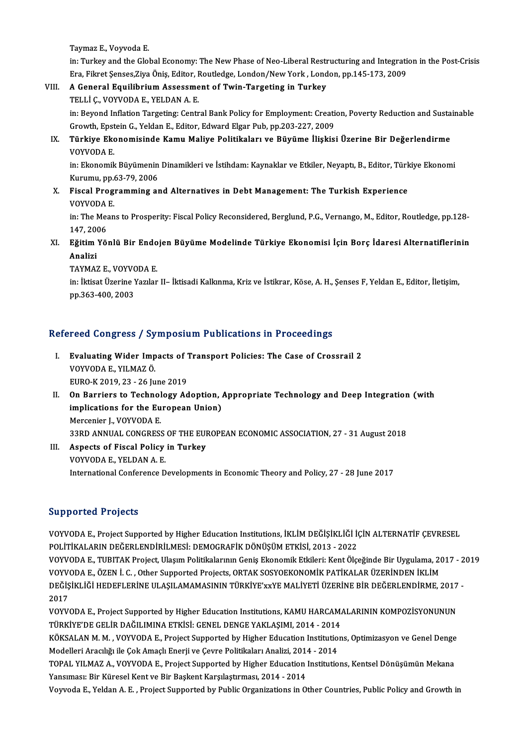TaymazE.,VoyvodaE.

Taymaz E., Voyvoda E.<br>in: Turkey and the Global Economy: The New Phase of Neo-Liberal Restructuring and Integration in the Post-Crisis<br>Ena Filmet Senses Zive Önis Editor Reutledge Lander (New York, Lander, np.145,173, 2009 Taymaz E., Voyvoda E.<br>in: Turkey and the Global Economy: The New Phase of Neo-Liberal Restructuring and Integration:<br>Era, Fikret Şenses,Ziya Öniş, Editor, Routledge, London/New York , London, pp.145-173, 2009<br>A General Fau in: Turkey and the Global Economy: The New Phase of Neo-Liberal Restr<br>Era, Fikret Şenses,Ziya Öniş, Editor, Routledge, London/New York , Lond<br>VIII. A General Equilibrium Assessment of Twin-Targeting in Turkey<br>TELLI G VOYVO

Era, Fikret Şenses,Ziya Öniş, Editor, Routledge, London/New York , London, pp.145-173, 2009<br>A General Equilibrium Assessment of Twin-Targeting in Turkey<br>TELLİ Ç., VOYVODA E., YELDAN A. E.

A General Equilibrium Assessment of Twin-Targeting in Turkey<br>TELLİ Ç., VOYVODA E., YELDAN A. E.<br>in: Beyond Inflation Targeting: Central Bank Policy for Employment: Creation, Poverty Reduction and Sustainable<br>Creuth Enstein TELLİ Ç., VOYVODA E., YELDAN A. E.<br>in: Beyond Inflation Targeting: Central Bank Policy for Employment: Creation<br>Growth, Epstein G., Yeldan E., Editor, Edward Elgar Pub, pp.203-227, 2009<br>Türkiye Ekanomisinde Kamu Maliye Bol Growth, Epstein G., Yeldan E., Editor, Edward Elgar Pub, pp.203-227, 2009

## IX. Türkiye Ekonomisinde Kamu Maliye Politikaları ve Büyüme İlişkisi Üzerine Bir Değerlendirme Türkiye Ekonomisinde Kamu Maliye Politikaları ve Büyüme İlişkisi Üzerine Bir Değerlendirme<br>VOYVODA E.<br>in: Ekonomik Büyümenin Dinamikleri ve İstihdam: Kaynaklar ve Etkiler, Neyaptı, B., Editor, Türkiye Ekonomi<br>Kurumu ap 63.

VOYVODA E.<br>in: Ekonomik Büyümenin<br>Kurumu, pp.63-79, 2006<br>Fiscal Brosrammins ar in: Ekonomik Büyümenin Dinamikleri ve İstihdam: Kaynaklar ve Etkiler, Neyaptı, B., Editor, Türk<br>Kurumu, pp.63-79, 2006<br>X. Fiscal Programming and Alternatives in Debt Management: The Turkish Experience<br>VOWODA E

## Kurumu, pp.63-79, 2006<br>X. Fiscal Programming and Alternatives in Debt Management: The Turkish Experience<br>VOYVODA E. Fiscal Programming and Alternatives in Debt Management: The Turkish Experience<br>VOYVODA E.<br>in: The Means to Prosperity: Fiscal Policy Reconsidered, Berglund, P.G., Vernango, M., Editor, Routledge, pp.128-<br>147, 2006

VOYVODA<br>in: The Mea<br>147, 2006<br>Ežitim Vä in: The Means to Prosperity: Fiscal Policy Reconsidered, Berglund, P.G., Vernango, M., Editor, Routledge, pp.128-<br>147, 2006<br>XI. Eğitim Yönlü Bir Endojen Büyüme Modelinde Türkiye Ekonomisi İçin Borç İdaresi Alternatiflerini

## 147, 20)<br><mark>Eğitim</mark><br>Analizi<br>TAYMA' Eğitim Yönlü Bir Endo<br>Analizi<br>TAYMAZ E., VOYVODA E.<br>in: İkisat Üzerine Yemler

**Analizi**<br>TAYMAZ E., VOYVODA E.<br>in: İktisat Üzerine Yazılar II– İktisadi Kalkınma, Kriz ve İstikrar, Köse, A. H., Şenses F, Yeldan E., Editor, İletişim, TAYMAZ E., VOYVC<br>in: İktisat Üzerine Y<br>pp.363-400, 2003

# pp.sos-400, 200s<br>Refereed Congress / Symposium Publications in Proceedings

- efereed Congress / Symposium Publications in Proceedings<br>I. Evaluating Wider Impacts of Transport Policies: The Case of Crossrail 2<br>VOVVODA E VUMAZÖ Evaluating Wider Imp<br>VOYVODA E., YILMAZÖ.<br>FURO K 2019-22 - 26 Iu Evaluating Wider Impacts of 7<br>VOYVODA E., YILMAZ Ö.<br>EURO-K 2019, 23 - 26 June 2019<br>On Perriers te Technology Ad VOYVODA E., YILMAZ Ö.<br>EURO-K 2019, 23 - 26 June 2019<br>II. On Barriers to Technology Adoption, Appropriate Technology and Deep Integration (with<br>implications for the European Union)
- EURO-K 2019, 23 26 June 2019<br>On Barriers to Technology Adoption, .<br>implications for the European Union)<br>Marganian L VOYVODA E implications for the European Union)<br>Mercenier J., VOYVODA E. implications for the European Union)<br>Mercenier J., VOYVODA E.<br>33RD ANNUAL CONGRESS OF THE EUROPEAN ECONOMIC ASSOCIATION, 27 - 31 August 2018<br>Aspects of Fiscel Bolisy in Turkey.

## III. Aspects of Fiscal Policy in Turkey<br>VOYVODA E., YELDAN A. E. 33RD ANNUAL CONGRESS<br>Aspects of Fiscal Policy<br>VOYVODA E., YELDAN A. E.<br>International Conference D International Conference Developments in Economic Theory and Policy, 27 - 28 June 2017

## Supported Projects

Supported Projects<br>VOYVODA E., Project Supported by Higher Education Institutions, İKLİM DEĞİŞİKLİĞİ İÇİN ALTERNATİF ÇEVRESEL<br>POLİTİKALARIN DEĞERLENDİRİLMESİ: DEMOCRAFİK DÖNÜSÜM ETKİSİ 2012–2022 PAPOLICA I 1990cc<br>POLİTİKALARIN DEĞERLENDİRİLMESİ: DEMOGRAFİK DÖNÜŞÜM ETKİSİ, 2013 - 2022<br>POLİTİKALARIN DEĞERLENDİRİLMESİ: DEMOGRAFİK DÖNÜŞÜM ETKİSİ, 2013 - 2022<br>VOVYODA E, TUBITAK Project Ulesum Bolitikalarının Geniş Ekon VOYVODA E., Project Supported by Higher Education Institutions, İKLİM DEĞİŞİKLİĞİ İÇİN ALTERNATİF ÇEVRESEL<br>POLİTİKALARIN DEĞERLENDİRİLMESİ: DEMOGRAFİK DÖNÜŞÜM ETKİSİ, 2013 - 2022<br>VOYVODA E., TUBITAK Project, Ulaşım Politik

POLİTİKALARIN DEĞERLENDİRİLMESİ: DEMOGRAFİK DÖNÜŞÜM ETKİSİ, 2013 - 2022<br>VOYVODA E., TUBITAK Project, Ulaşım Politikalarının Geniş Ekonomik Etkileri: Kent Ölçeğinde Bir Uygulama, 2017 - 2019<br>VOYVODA E., ÖZEN İ. C. , Other S VOYVODA E., TUBITAK Project, Ulaşım Politikalarının Geniş Ekonomik Etkileri: Kent Ölçeğinde Bir Uygulama, 2017 - 2<br>VOYVODA E., ÖZEN İ. C. , Other Supported Projects, ORTAK SOSYOEKONOMİK PATİKALAR ÜZERİNDEN İKLİM<br>DEĞİŞİKLİĞ VOYV<br>DEĞİŞ<br>2017<br>VOYV DEĞİŞİKLİĞİ HEDEFLERİNE ULAŞILAMAMASININ TÜRKİYE'xxYE MALİYETİ ÜZERİNE BİR DEĞERLENDİRME, 2017<br>2017<br>VOYVODA E., Project Supported by Higher Education Institutions, KAMU HARCAMALARININ KOMPOZİSYONUNUN<br>TÜRKİYE'DE CELİR DAĞU

2017<br>VOYVODA E., Project Supported by Higher Education Institutions, KAMU HARCAM.<br>TÜRKİYE'DE GELİR DAĞILIMINA ETKİSİ: GENEL DENGE YAKLAŞIMI, 2014 - 2014<br>KÖKSALAN M.M., YOYVODA E. Project Supported bu Higher Education Insti VOYVODA E., Project Supported by Higher Education Institutions, KAMU HARCAMALARININ KOMPOZİSYONUNUN<br>TÜRKİYE'DE GELİR DAĞILIMINA ETKİSİ: GENEL DENGE YAKLAŞIMI, 2014 - 2014<br>KÖKSALAN M. M. , VOYVODA E., Project Supported by H

TÜRKİYE'DE GELİR DAĞILIMINA ETKİSİ: GENEL DENGE YAKLAŞIMI, 2014 - 2014<br>KÖKSALAN M. M. , VOYVODA E., Project Supported by Higher Education Institutio<br>Modelleri Aracılığı ile Çok Amaçlı Enerji ve Çevre Politikaları Analizi, KÖKSALAN M. M. , VOYVODA E., Project Supported by Higher Education Institutions, Optimizasyon ve Genel Denge<br>Modelleri Aracılığı ile Çok Amaçlı Enerji ve Çevre Politikaları Analizi, 2014 - 2014<br>TOPAL YILMAZ A., VOYVODA E.,

Modelleri Aracılığı ile Çok Amaçlı Enerji ve Çevre Politikaları Analizi, 2014 - 2014<br>TOPAL YILMAZ A., VOYVODA E., Project Supported by Higher Education Institutions, Kentsel Dönüşümün Mekana<br>Yansıması: Bir Küresel Kent ve

Voyvoda E., Yeldan A. E., Project Supported by Public Organizations in Other Countries, Public Policy and Growth in